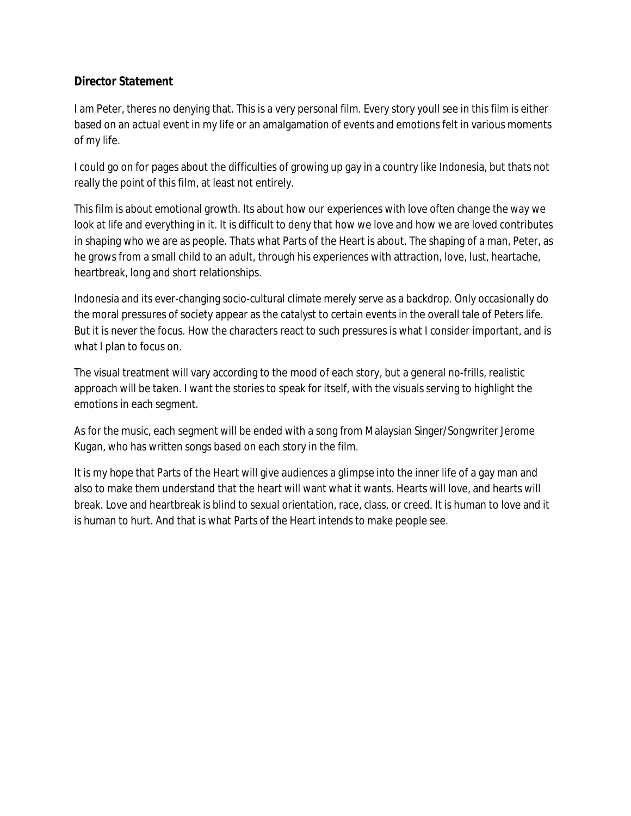# **Director Statement**

I am Peter, theres no denying that. This is a very personal film. Every story youll see in this film is either based on an actual event in my life or an amalgamation of events and emotions felt in various moments of my life.

I could go on for pages about the difficulties of growing up gay in a country like Indonesia, but thats not really the point of this film, at least not entirely.

This film is about emotional growth. Its about how our experiences with love often change the way we look at life and everything in it. It is difficult to deny that how we love and how we are loved contributes in shaping who we are as people. Thats what Parts of the Heart is about. The shaping of a man, Peter, as he grows from a small child to an adult, through his experiences with attraction, love, lust, heartache, heartbreak, long and short relationships.

Indonesia and its ever-changing socio-cultural climate merely serve as a backdrop. Only occasionally do the moral pressures of society appear as the catalyst to certain events in the overall tale of Peters life. But it is never the focus. How the characters react to such pressures is what I consider important, and is what I plan to focus on.

The visual treatment will vary according to the mood of each story, but a general no-frills, realistic approach will be taken. I want the stories to speak for itself, with the visuals serving to highlight the emotions in each segment.

As for the music, each segment will be ended with a song from Malaysian Singer/Songwriter Jerome Kugan, who has written songs based on each story in the film.

It is my hope that Parts of the Heart will give audiences a glimpse into the inner life of a gay man and also to make them understand that the heart will want what it wants. Hearts will love, and hearts will break. Love and heartbreak is blind to sexual orientation, race, class, or creed. It is human to love and it is human to hurt. And that is what Parts of the Heart intends to make people see.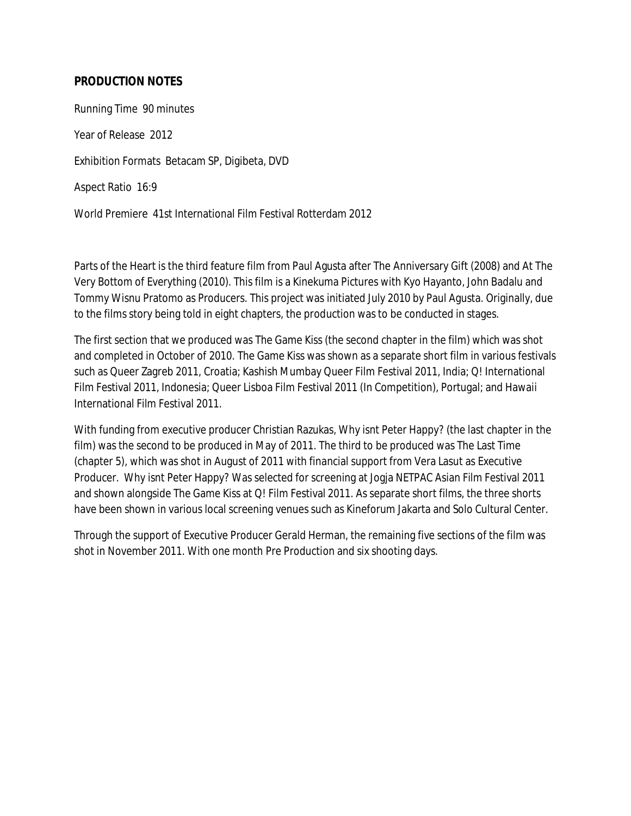## **PRODUCTION NOTES**

Running Time 90 minutes Year of Release 2012 Exhibition Formats Betacam SP, Digibeta, DVD Aspect Ratio 16:9 World Premiere 41st International Film Festival Rotterdam 2012

Parts of the Heart is the third feature film from Paul Agusta after The Anniversary Gift (2008) and At The Very Bottom of Everything (2010). This film is a Kinekuma Pictures with Kyo Hayanto, John Badalu and Tommy Wisnu Pratomo as Producers. This project was initiated July 2010 by Paul Agusta. Originally, due to the films story being told in eight chapters, the production was to be conducted in stages.

The first section that we produced was The Game Kiss (the second chapter in the film) which was shot and completed in October of 2010. The Game Kiss was shown as a separate short film in various festivals such as Queer Zagreb 2011, Croatia; Kashish Mumbay Queer Film Festival 2011, India; Q! International Film Festival 2011, Indonesia; Queer Lisboa Film Festival 2011 (In Competition), Portugal; and Hawaii International Film Festival 2011.

With funding from executive producer Christian Razukas, Why isnt Peter Happy? (the last chapter in the film) was the second to be produced in May of 2011. The third to be produced was The Last Time (chapter 5), which was shot in August of 2011 with financial support from Vera Lasut as Executive Producer. Why isnt Peter Happy? Was selected for screening at Jogja NETPAC Asian Film Festival 2011 and shown alongside The Game Kiss at Q! Film Festival 2011. As separate short films, the three shorts have been shown in various local screening venues such as Kineforum Jakarta and Solo Cultural Center.

Through the support of Executive Producer Gerald Herman, the remaining five sections of the film was shot in November 2011. With one month Pre Production and six shooting days.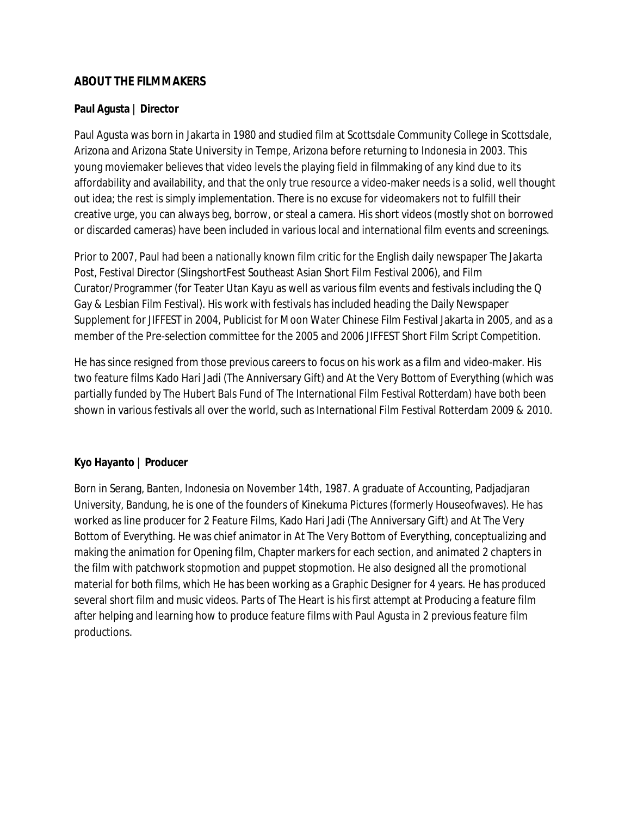### **ABOUT THE FILMMAKERS**

#### **Paul Agusta | Director**

Paul Agusta was born in Jakarta in 1980 and studied film at Scottsdale Community College in Scottsdale, Arizona and Arizona State University in Tempe, Arizona before returning to Indonesia in 2003. This young moviemaker believes that video levels the playing field in filmmaking of any kind due to its affordability and availability, and that the only true resource a video-maker needs is a solid, well thought out idea; the rest is simply implementation. There is no excuse for videomakers not to fulfill their creative urge, you can always beg, borrow, or steal a camera. His short videos (mostly shot on borrowed or discarded cameras) have been included in various local and international film events and screenings.

Prior to 2007, Paul had been a nationally known film critic for the English daily newspaper The Jakarta Post, Festival Director (SlingshortFest Southeast Asian Short Film Festival 2006), and Film Curator/Programmer (for Teater Utan Kayu as well as various film events and festivals including the Q Gay & Lesbian Film Festival). His work with festivals has included heading the Daily Newspaper Supplement for JIFFEST in 2004, Publicist for Moon Water Chinese Film Festival Jakarta in 2005, and as a member of the Pre-selection committee for the 2005 and 2006 JIFFEST Short Film Script Competition.

He has since resigned from those previous careers to focus on his work as a film and video-maker. His two feature films Kado Hari Jadi (The Anniversary Gift) and At the Very Bottom of Everything (which was partially funded by The Hubert Bals Fund of The International Film Festival Rotterdam) have both been shown in various festivals all over the world, such as International Film Festival Rotterdam 2009 & 2010.

## **Kyo Hayanto | Producer**

Born in Serang, Banten, Indonesia on November 14th, 1987. A graduate of Accounting, Padjadjaran University, Bandung, he is one of the founders of Kinekuma Pictures (formerly Houseofwaves). He has worked as line producer for 2 Feature Films, Kado Hari Jadi (The Anniversary Gift) and At The Very Bottom of Everything. He was chief animator in At The Very Bottom of Everything, conceptualizing and making the animation for Opening film, Chapter markers for each section, and animated 2 chapters in the film with patchwork stopmotion and puppet stopmotion. He also designed all the promotional material for both films, which He has been working as a Graphic Designer for 4 years. He has produced several short film and music videos. Parts of The Heart is his first attempt at Producing a feature film after helping and learning how to produce feature films with Paul Agusta in 2 previous feature film productions.